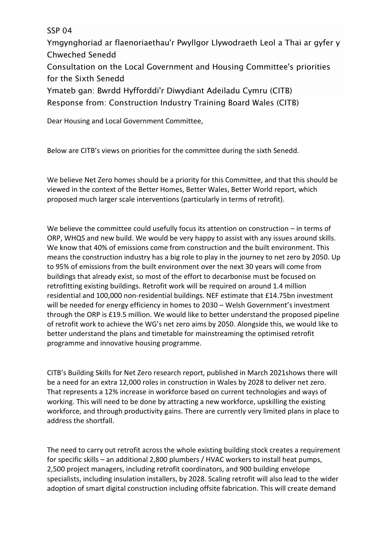SSP 04

Ymgynghoriad ar flaenoriaethau'r Pwyllgor Llywodraeth Leol a Thai ar gyfer y Chweched Senedd Consultation on the Local Government and Housing Committee's priorities for the Sixth Senedd

Ymateb gan: Bwrdd Hyfforddi'r Diwydiant Adeiladu Cymru (CITB)

Response from: Construction Industry Training Board Wales (CITB)

Dear Housing and Local Government Committee,

Below are CITB's views on priorities for the committee during the sixth Senedd.

We believe Net Zero homes should be a priority for this Committee, and that this should be viewed in the context of the Better Homes, Better Wales, Better World report, which proposed much larger scale interventions (particularly in terms of retrofit).

We believe the committee could usefully focus its attention on construction – in terms of ORP, WHQS and new build. We would be very happy to assist with any issues around skills. We know that 40% of emissions come from construction and the built environment. This means the construction industry has a big role to play in the journey to net zero by 2050. Up to 95% of emissions from the built environment over the next 30 years will come from buildings that already exist, so most of the effort to decarbonise must be focused on retrofitting existing buildings. Retrofit work will be required on around 1.4 million residential and 100,000 non-residential buildings. NEF estimate that £14.75bn investment will be needed for energy efficiency in homes to 2030 – Welsh Government's investment through the ORP is £19.5 million. We would like to better understand the proposed pipeline of retrofit work to achieve the WG's net zero aims by 2050. Alongside this, we would like to better understand the plans and timetable for mainstreaming the optimised retrofit programme and innovative housing programme.

CITB's Building Skills for Net Zero research report, published in March 2021shows there will be a need for an extra 12,000 roles in construction in Wales by 2028 to deliver net zero. That represents a 12% increase in workforce based on current technologies and ways of working. This will need to be done by attracting a new workforce, upskilling the existing workforce, and through productivity gains. There are currently very limited plans in place to address the shortfall.

The need to carry out retrofit across the whole existing building stock creates a requirement for specific skills – an additional 2,800 plumbers / HVAC workers to install heat pumps, 2,500 project managers, including retrofit coordinators, and 900 building envelope specialists, including insulation installers, by 2028. Scaling retrofit will also lead to the wider adoption of smart digital construction including offsite fabrication. This will create demand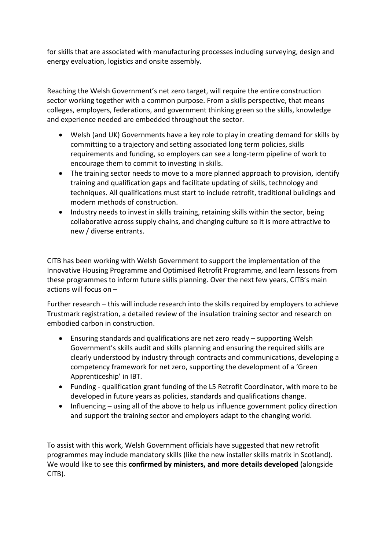for skills that are associated with manufacturing processes including surveying, design and energy evaluation, logistics and onsite assembly.

Reaching the Welsh Government's net zero target, will require the entire construction sector working together with a common purpose. From a skills perspective, that means colleges, employers, federations, and government thinking green so the skills, knowledge and experience needed are embedded throughout the sector.

- Welsh (and UK) Governments have a key role to play in creating demand for skills by committing to a trajectory and setting associated long term policies, skills requirements and funding, so employers can see a long-term pipeline of work to encourage them to commit to investing in skills.
- The training sector needs to move to a more planned approach to provision, identify training and qualification gaps and facilitate updating of skills, technology and techniques. All qualifications must start to include retrofit, traditional buildings and modern methods of construction.
- Industry needs to invest in skills training, retaining skills within the sector, being collaborative across supply chains, and changing culture so it is more attractive to new / diverse entrants.

CITB has been working with Welsh Government to support the implementation of the Innovative Housing Programme and Optimised Retrofit Programme, and learn lessons from these programmes to inform future skills planning. Over the next few years, CITB's main actions will focus on –

Further research – this will include research into the skills required by employers to achieve Trustmark registration, a detailed review of the insulation training sector and research on embodied carbon in construction.

- Ensuring standards and qualifications are net zero ready supporting Welsh Government's skills audit and skills planning and ensuring the required skills are clearly understood by industry through contracts and communications, developing a competency framework for net zero, supporting the development of a 'Green Apprenticeship' in IBT.
- Funding qualification grant funding of the L5 Retrofit Coordinator, with more to be developed in future years as policies, standards and qualifications change.
- Influencing using all of the above to help us influence government policy direction and support the training sector and employers adapt to the changing world.

To assist with this work, Welsh Government officials have suggested that new retrofit programmes may include mandatory skills (like the new installer skills matrix in Scotland). We would like to see this **confirmed by ministers, and more details developed** (alongside CITB).